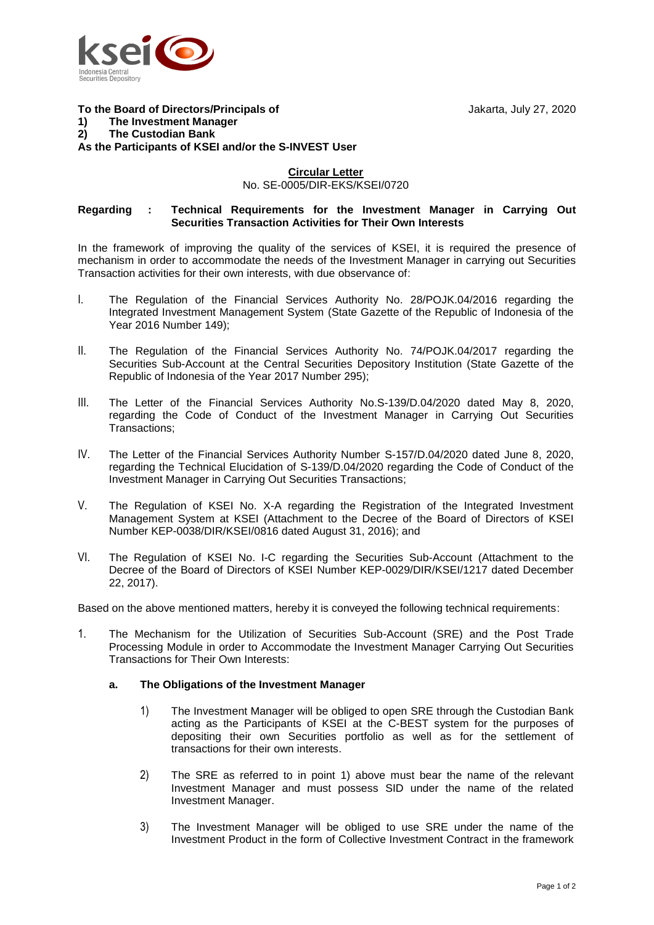

#### **To the Board of Directors/Principals of** Jakarta, July 27, 2020 **1) The Investment Manager 2) The Custodian Bank**

**As the Participants of KSEI and/or the S-INVEST User**

### **Circular Letter**

No. SE-0005/DIR-EKS/KSEI/0720

### **Regarding : Technical Requirements for the Investment Manager in Carrying Out Securities Transaction Activities for Their Own Interests**

In the framework of improving the quality of the services of KSEI, it is required the presence of mechanism in order to accommodate the needs of the Investment Manager in carrying out Securities Transaction activities for their own interests, with due observance of:

- I. The Regulation of the Financial Services Authority No. 28/POJK.04/2016 regarding the Integrated Investment Management System (State Gazette of the Republic of Indonesia of the Year 2016 Number 149);
- II. The Regulation of the Financial Services Authority No. 74/POJK.04/2017 regarding the Securities Sub-Account at the Central Securities Depository Institution (State Gazette of the Republic of Indonesia of the Year 2017 Number 295);
- III. The Letter of the Financial Services Authority No.S-139/D.04/2020 dated May 8, 2020, regarding the Code of Conduct of the Investment Manager in Carrying Out Securities Transactions;
- IV. The Letter of the Financial Services Authority Number S-157/D.04/2020 dated June 8, 2020, regarding the Technical Elucidation of S-139/D.04/2020 regarding the Code of Conduct of the Investment Manager in Carrying Out Securities Transactions;
- V. The Regulation of KSEI No. X-A regarding the Registration of the Integrated Investment Management System at KSEI (Attachment to the Decree of the Board of Directors of KSEI Number KEP-0038/DIR/KSEI/0816 dated August 31, 2016); and
- VI. The Regulation of KSEI No. I-C regarding the Securities Sub-Account (Attachment to the Decree of the Board of Directors of KSEI Number KEP-0029/DIR/KSEI/1217 dated December 22, 2017).

Based on the above mentioned matters, hereby it is conveyed the following technical requirements:

1. The Mechanism for the Utilization of Securities Sub-Account (SRE) and the Post Trade Processing Module in order to Accommodate the Investment Manager Carrying Out Securities Transactions for Their Own Interests:

# **a. The Obligations of the Investment Manager**

- 1) The Investment Manager will be obliged to open SRE through the Custodian Bank acting as the Participants of KSEI at the C-BEST system for the purposes of depositing their own Securities portfolio as well as for the settlement of transactions for their own interests.
- 2) The SRE as referred to in point 1) above must bear the name of the relevant Investment Manager and must possess SID under the name of the related Investment Manager.
- 3) The Investment Manager will be obliged to use SRE under the name of the Investment Product in the form of Collective Investment Contract in the framework